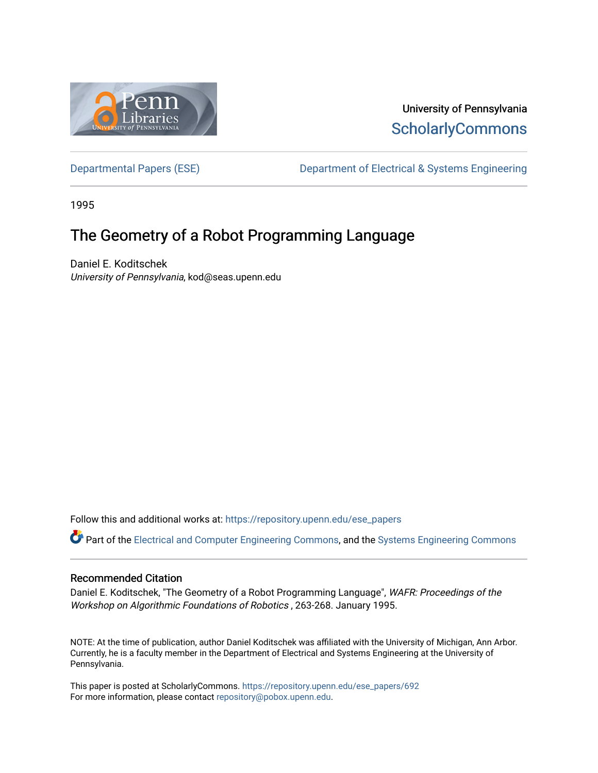

# University of Pennsylvania **ScholarlyCommons**

[Departmental Papers \(ESE\)](https://repository.upenn.edu/ese_papers) Department of Electrical & Systems Engineering

1995

# The Geometry of a Robot Programming Language

Daniel E. Koditschek University of Pennsylvania, kod@seas.upenn.edu

Follow this and additional works at: [https://repository.upenn.edu/ese\\_papers](https://repository.upenn.edu/ese_papers?utm_source=repository.upenn.edu%2Fese_papers%2F692&utm_medium=PDF&utm_campaign=PDFCoverPages)

Part of the [Electrical and Computer Engineering Commons](http://network.bepress.com/hgg/discipline/266?utm_source=repository.upenn.edu%2Fese_papers%2F692&utm_medium=PDF&utm_campaign=PDFCoverPages), and the [Systems Engineering Commons](http://network.bepress.com/hgg/discipline/309?utm_source=repository.upenn.edu%2Fese_papers%2F692&utm_medium=PDF&utm_campaign=PDFCoverPages) 

## Recommended Citation

Daniel E. Koditschek, "The Geometry of a Robot Programming Language", WAFR: Proceedings of the Workshop on Algorithmic Foundations of Robotics , 263-268. January 1995.

NOTE: At the time of publication, author Daniel Koditschek was affiliated with the University of Michigan, Ann Arbor. Currently, he is a faculty member in the Department of Electrical and Systems Engineering at the University of Pennsylvania.

This paper is posted at ScholarlyCommons. [https://repository.upenn.edu/ese\\_papers/692](https://repository.upenn.edu/ese_papers/692) For more information, please contact [repository@pobox.upenn.edu.](mailto:repository@pobox.upenn.edu)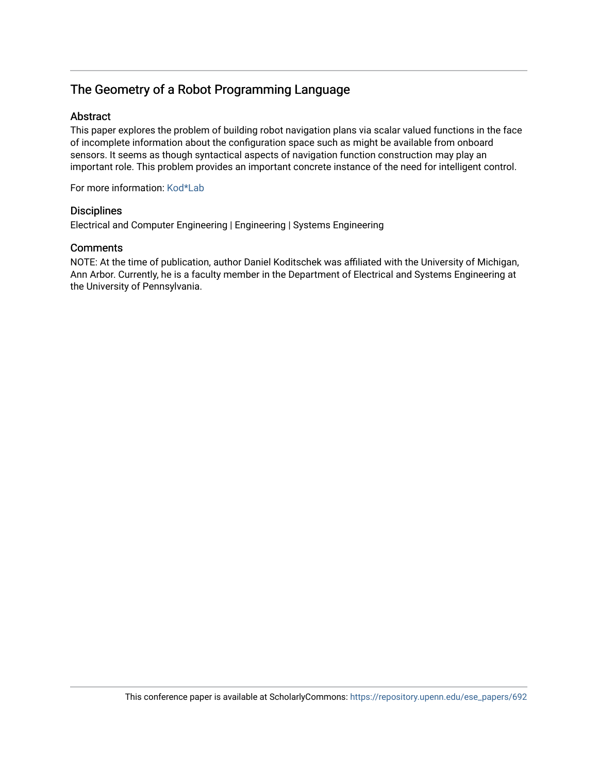# The Geometry of a Robot Programming Language

## Abstract

This paper explores the problem of building robot navigation plans via scalar valued functions in the face of incomplete information about the configuration space such as might be available from onboard sensors. It seems as though syntactical aspects of navigation function construction may play an important role. This problem provides an important concrete instance of the need for intelligent control.

For more information: [Kod\\*Lab](http://kodlab.seas.upenn.edu/Kod/TAFR1995)

## **Disciplines**

Electrical and Computer Engineering | Engineering | Systems Engineering

## **Comments**

NOTE: At the time of publication, author Daniel Koditschek was affiliated with the University of Michigan, Ann Arbor. Currently, he is a faculty member in the Department of Electrical and Systems Engineering at the University of Pennsylvania.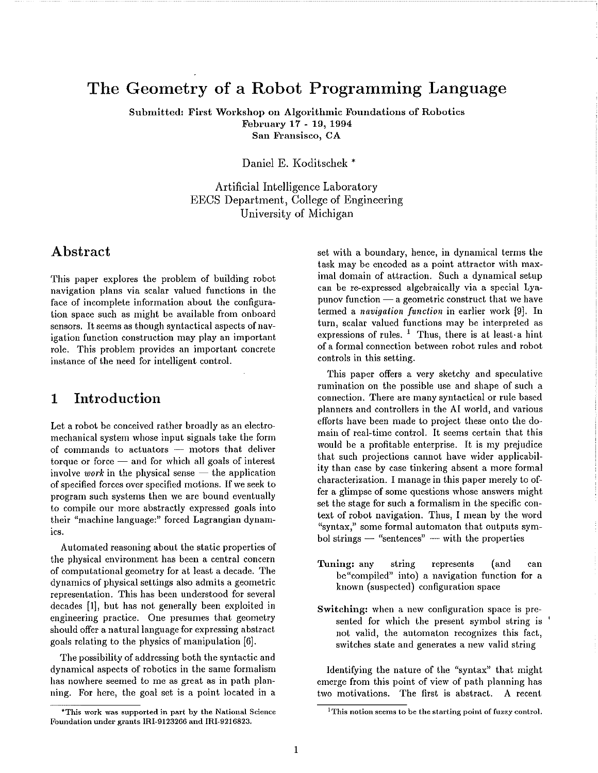# The Geometry of a Robot Programming Language

Submitted: First Workshop on Algorithmic Foundations of Robotics February 17 - 19, 1994 San Fransisco, CA

Daniel E. Koditschek\*

Artificial Intelligence Laboratory EECS Department, College of Engineering University of Michigan

# Abstract

This paper explores the problem of building robot navigation plans via scalar valued functions in the face of incomplete information about the configuration space such as might be available from onboard sensors. It seems as though syntactical aspects of navigation function construction may play an important role. This problem provides an important concrete instance of the need for intelligent control.

### Introduction  $\mathbf{1}$

Let a robot be conceived rather broadly as an electromechanical system whose input signals take the form of commands to actuators - motors that deliver torque or force  $-$  and for which all goals of interest involve work in the physical sense  $-$  the application of specified forces over specified motions. If we seek to program such systems then we are bound eventually to compile our more abstractly expressed goals into their "machine language:" forced Lagrangian dynamics.

Automated reasoning about the static properties of the physical environment has been a central concern of computational geometry for at least a decade. The dynamics of physical settings also admits a geometric representation. This has been understood for several decades [1], but has not generally been exploited in engineering practice. One presumes that geometry should offer a natural language for expressing abstract goals relating to the physics of manipulation [6].

The possibility of addressing both the syntactic and dynamical aspects of robotics in the same formalism has nowhere seemed to me as great as in path planning. For here, the goal set is a point located in a

set with a boundary, hence, in dynamical terms the task may be encoded as a point attractor with maximal domain of attraction. Such a dynamical setup can be re-expressed algebraically via a special Lyapunov function  $-\alpha$  geometric construct that we have termed a navigation function in earlier work [9]. In turn, scalar valued functions may be interpreted as expressions of rules. <sup>1</sup> Thus, there is at least a hint of a formal connection between robot rules and robot controls in this setting.

This paper offers a very sketchy and speculative rumination on the possible use and shape of such a connection. There are many syntactical or rule based planners and controllers in the AI world, and various efforts have been made to project these onto the domain of real-time control. It seems certain that this would be a profitable enterprise. It is my prejudice that such projections cannot have wider applicability than case by case tinkering absent a more formal characterization. I manage in this paper merely to offer a glimpse of some questions whose answers might set the stage for such a formalism in the specific context of robot navigation. Thus, I mean by the word "syntax," some formal automaton that outputs symbol strings  $-$  "sentences"  $-$  with the properties

- Tuning: any string represents (and can be"compiled" into) a navigation function for a known (suspected) configuration space
- Switching: when a new configuration space is presented for which the present symbol string is not valid, the automaton recognizes this fact, switches state and generates a new valid string

Identifying the nature of the "syntax" that might emerge from this point of view of path planning has two motivations. The first is abstract. A recent

<sup>\*</sup>This work was supported in part by the National Science Foundation under grants IRI-9123266 and IRI-9216823.

<sup>&</sup>lt;sup>1</sup>This notion seems to be the starting point of fuzzy control.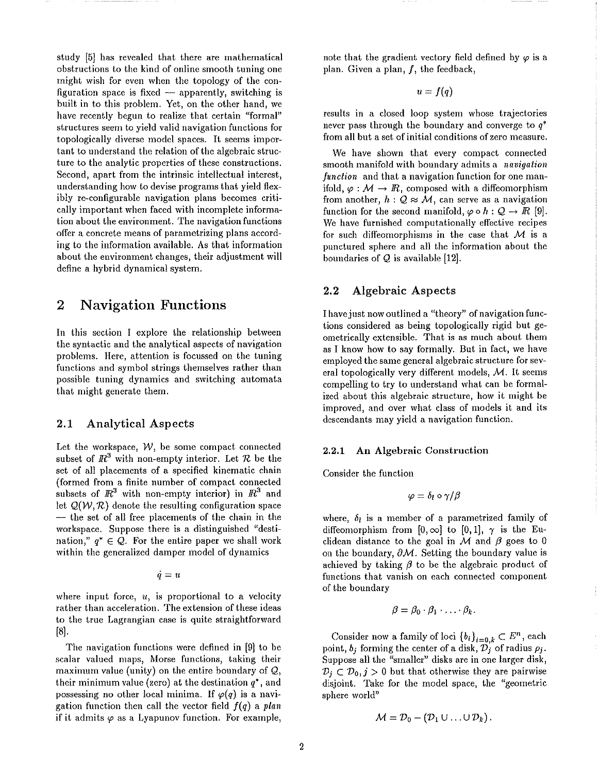study [5] has revealed that there are mathematical obstructions to the kind of online smooth tuning one might wish for even when the topology of the configuration space is fixed - apparently, switching is built in to this problem. Yet, on the other hand, we have recently begun to realize that certain "formal" structures seem to yield valid navigation functions for topologically diverse model spaces. It seems important to understand the relation of the algebraic structure to the analytic properties of these constructions. Second, apart from the intrinsic intellectual interest, understanding how to devise programs that yield flexibly re-configurable navigation plans becomes critically important when faced with incomplete information about the environment. The navigation functions offer a concrete means of parametrizing plans according to the information available. As that information about the environment changes, their adjustment will define a hybrid dynamical system.

### **Navigation Functions**  $\bf{2}$

In this section I explore the relationship between the syntactic and the analytical aspects of navigation problems. Here, attention is focussed on the tuning functions and symbol strings themselves rather than possible tuning dynamics and switching automata that might generate them.

#### $2.1$ **Analytical Aspects**

Let the workspace,  $W$ , be some compact connected subset of  $\mathbb{R}^3$  with non-empty interior. Let  $\mathcal R$  be the set of all placements of a specified kinematic chain (formed from a finite number of compact connected subsets of  $\mathbb{R}^3$  with non-empty interior) in  $\mathbb{R}^3$  and let  $Q(W, R)$  denote the resulting configuration space - the set of all free placements of the chain in the workspace. Suppose there is a distinguished "destination,"  $q^* \in Q$ . For the entire paper we shall work within the generalized damper model of dynamics

 $\dot{q} = u$ 

where input force,  $u$ , is proportional to a velocity rather than acceleration. The extension of these ideas to the true Lagrangian case is quite straightforward  $[8]$ 

The navigation functions were defined in [9] to be scalar valued maps, Morse functions, taking their maximum value (unity) on the entire boundary of  $Q$ , their minimum value (zero) at the destination  $q^*$ , and possessing no other local minima. If  $\varphi(q)$  is a navigation function then call the vector field  $f(q)$  a plan if it admits  $\varphi$  as a Lyapunov function. For example, note that the gradient vectory field defined by  $\varphi$  is a plan. Given a plan,  $f$ , the feedback,

$$
u=f(q)
$$

results in a closed loop system whose trajectories never pass through the boundary and converge to  $q^*$ from all but a set of initial conditions of zero measure.

We have shown that every compact connected smooth manifold with boundary admits a navigation function and that a navigation function for one manifold,  $\varphi : \mathcal{M} \to \mathbb{R}$ , composed with a diffeomorphism from another,  $h: Q \approx M$ , can serve as a navigation function for the second manifold,  $\varphi \circ h : \mathcal{Q} \to \mathbb{R}$  [9]. We have furnished computationally effective recipes for such diffeomorphisms in the case that  $M$  is a punctured sphere and all the information about the boundaries of  $Q$  is available [12].

#### $2.2$ **Algebraic Aspects**

I have just now outlined a "theory" of navigation functions considered as being topologically rigid but geometrically extensible. That is as much about them as I know how to say formally. But in fact, we have employed the same general algebraic structure for several topologically very different models,  $M$ . It seems compelling to try to understand what can be formalized about this algebraic structure, how it might be improved, and over what class of models it and its descendants may yield a navigation function.

#### An Algebraic Construction  $2.2.1$

Consider the function

$$
\varphi = \delta_l \circ \gamma/\beta
$$

where,  $\delta_l$  is a member of a parametrized family of diffeomorphism from  $[0,\infty]$  to  $[0,1]$ ,  $\gamma$  is the Euclidean distance to the goal in  $M$  and  $\beta$  goes to 0 on the boundary,  $\partial M$ . Setting the boundary value is achieved by taking  $\beta$  to be the algebraic product of functions that vanish on each connected component of the boundary

$$
\beta = \beta_0 \cdot \beta_1 \cdot \ldots \cdot \beta_k.
$$

Consider now a family of loci  $\{b_i\}_{i=0,k} \subset E^n$ , each point,  $b_j$  forming the center of a disk,  $\mathcal{D}_j$  of radius  $\rho_j$ . Suppose all the "smaller" disks are in one larger disk,  $\mathcal{D}_i \subset \mathcal{D}_0, j > 0$  but that otherwise they are pairwise disjoint. Take for the model space, the "geometric sphere world"

$$
\mathcal{M} = \mathcal{D}_0 - (\mathcal{D}_1 \cup \ldots \cup \mathcal{D}_k).
$$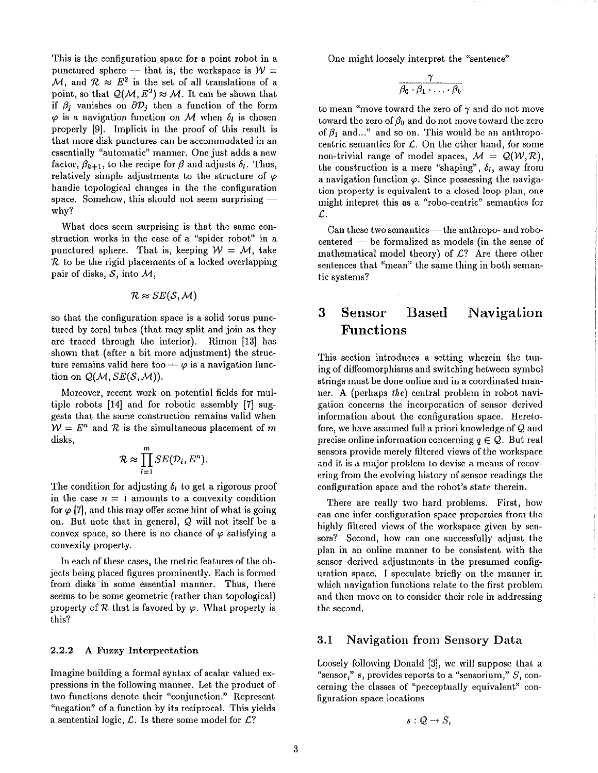This is the configuration space for a point robot in a punctured sphere – that is, the workspace is  $W =$ M, and  $\mathcal{R} \approx E^2$  is the set of all translations of a point, so that  $Q(\mathcal{M}, E^2) \approx \mathcal{M}$ . It can be shown that if  $\beta_j$  vanishes on  $\partial \mathcal{D}_j$  then a function of the form  $\varphi$  is a navigation function on M when  $\delta_l$  is chosen properly [9]. Implicit in the proof of this result is that more disk punctures can be accommodated in an essentially "automatic" manner. One just adds a new factor,  $\beta_{k+1}$ , to the recipe for  $\beta$  and adjusts  $\delta_l$ . Thus, relatively simple adjustments to the structure of  $\varphi$ handle topological changes in the the configuration space. Somehow, this should not seem surprising why?

What does seem surprising is that the same construction works in the case of a "spider robot" in a punctured sphere. That is, keeping  $W = M$ , take  $\mathcal R$  to be the rigid placements of a locked overlapping pair of disks,  $S$ , into  $M$ ,

$$
\mathcal{R} \approx SE(\mathcal{S},\mathcal{M})
$$

so that the configuration space is a solid torus punctured by toral tubes (that may split and join as they are traced through the interior). Rimon [13] has shown that (after a bit more adjustment) the structure remains valid here too  $-\varphi$  is a navigation function on  $Q(M, SE(S, M))$ .

Moreover, recent work on potential fields for multiple robots [14] and for robotic assembly [7] suggests that the same construction remains valid when  $W = E^n$  and R is the simultaneous placement of m disks,

$$
\mathcal{R} \approx \prod_{i=1}^m SE(\mathcal{D}_i, E^n).
$$

The condition for adjusting  $\delta_l$  to get a rigorous proof in the case  $n = 1$  amounts to a convexity condition for  $\varphi$  [7], and this may offer some hint of what is going on. But note that in general, Q will not itself be a convex space, so there is no chance of  $\varphi$  satisfying a convexity property.

In each of these cases, the metric features of the objects being placed figures prominently. Each is formed from disks in some essential manner. Thus, there seems to be some geometric (rather than topological) property of R that is favored by  $\varphi$ . What property is this?

#### $2.2.2$ A Fuzzy Interpretation

Imagine building a formal syntax of scalar valued expressions in the following manner. Let the product of two functions denote their "conjunction." Represent "negation" of a function by its reciprocal. This yields a sentential logic,  $\mathcal{L}$ . Is there some model for  $\mathcal{L}$ ?

One might loosely interpret the "sentence"

$$
\frac{\gamma}{\beta_0 \cdot \beta_1 \cdot \ldots \cdot \beta_k}
$$

to mean "move toward the zero of  $\gamma$  and do not move toward the zero of  $\beta_0$  and do not move toward the zero of  $\beta_1$  and..." and so on. This would be an anthropocentric semantics for  $\mathcal{L}$ . On the other hand, for some non-trivial range of model spaces,  $M = Q(W, R)$ , the construction is a mere "shaping",  $\delta_l$ , away from a navigation function  $\varphi$ . Since possessing the navigation property is equivalent to a closed loop plan, one might intepret this as a "robo-centric" semantics for  $\mathcal{L}$ .

Can these two semantics — the anthropo- and robocentered  $-$  be formalized as models (in the sense of mathematical model theory) of  $L$ ? Are there other sentences that "mean" the same thing in both semantic systems?

#### 3 **Sensor Based** Navigation **Functions**

This section introduces a setting wherein the tuning of diffeomorphisms and switching between symbol strings must be done online and in a coordinated manner. A (perhaps the) central problem in robot navigation concerns the incorporation of sensor derived information about the configuration space. Heretofore, we have assumed full a priori knowledge of Q and precise online information concerning  $q \in \mathcal{Q}$ . But real sensors provide merely filtered views of the workspace and it is a major problem to devise a means of recovering from the evolving history of sensor readings the configuration space and the robot's state therein.

There are really two hard problems. First, how can one infer configuration space properties from the highly filtered views of the workspace given by sensors? Second, how can one successfully adjust the plan in an online manner to be consistent with the sensor derived adjustments in the presumed configuration space. I speculate briefly on the manner in which navigation functions relate to the first problem and then move on to consider their role in addressing the second.

#### $3.1$ Navigation from Sensory Data

Loosely following Donald [3], we will suppose that a "sensor,"  $s$ , provides reports to a "sensorium,"  $S$ , concerning the classes of "perceptually equivalent" configuration space locations

 $s: Q \rightarrow S$ ,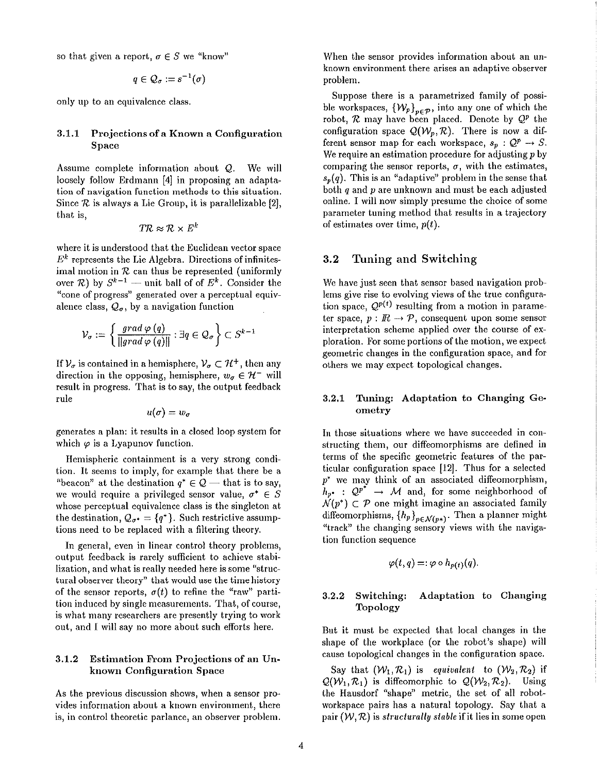so that given a report,  $\sigma \in S$  we "know"

$$
q\in \mathcal{Q}_\sigma:=s^{-1}(\sigma)
$$

only up to an equivalence class.

### $3.1.1$ Projections of a Known a Configuration Space

Assume complete information about  $Q$ . We will loosely follow Erdmann [4] in proposing an adaptation of navigation function methods to this situation. Since  $\mathcal R$  is always a Lie Group, it is parallelizable [2], that is,

$$
T\mathcal{R} \approx \mathcal{R} \times E^{\prime}
$$

where it is understood that the Euclidean vector space  $E<sup>k</sup>$  represents the Lie Algebra. Directions of infinitesimal motion in  $R$  can thus be represented (uniformly over  $\mathcal{R}$ ) by  $S^{k-1}$  — unit ball of of  $E^k$ . Consider the "cone of progress" generated over a perceptual equivalence class,  $Q_{\sigma}$ , by a navigation function

$$
\mathcal{V}_{\sigma} := \left\{ \frac{\textit{grad } \varphi \left( q \right)}{\left\| \textit{grad } \varphi \left( q \right) \right\|} : \exists q \in \mathcal{Q}_{\sigma} \right\} \subset S^{k-1}
$$

If  $\mathcal{V}_{\sigma}$  is contained in a hemisphere,  $\mathcal{V}_{\sigma} \subset \mathcal{H}^+$ , then any direction in the opposing, hemisphere,  $w_{\sigma} \in \mathcal{H}^-$  will result in progress. That is to say, the output feedback rule

$$
u(\sigma)=w_\sigma
$$

generates a plan: it results in a closed loop system for which  $\varphi$  is a Lyapunov function.

Hemispheric containment is a very strong condition. It seems to imply, for example that there be a "beacon" at the destination  $q^* \in \mathcal{Q}$  — that is to say, we would require a privileged sensor value,  $\sigma^* \in S$ whose perceptual equivalence class is the singleton at the destination,  $Q_{\sigma^*} = \{q^*\}\$ . Such restrictive assumptions need to be replaced with a filtering theory.

In general, even in linear control theory problems, output feedback is rarely sufficient to achieve stabilization, and what is really needed here is some "structural observer theory" that would use the time history of the sensor reports,  $\sigma(t)$  to refine the "raw" partition induced by single measurements. That, of course, is what many researchers are presently trying to work out, and I will say no more about such efforts here.

### 3.1.2 Estimation From Projections of an Unknown Configuration Space

As the previous discussion shows, when a sensor provides information about a known environment, there is, in control theoretic parlance, an observer problem.

When the sensor provides information about an unknown environment there arises an adaptive observer problem.

Suppose there is a parametrized family of possible workspaces,  $\{\mathcal{W}_p\}_{p\in\mathcal{P}}$ , into any one of which the robot,  $R$  may have been placed. Denote by  $Q^p$  the configuration space  $Q(W_n, R)$ . There is now a different sensor map for each workspace,  $s_p : Q^p \to S$ . We require an estimation procedure for adjusting  $p$  by comparing the sensor reports,  $\sigma$ , with the estimates,  $s_n(q)$ . This is an "adaptive" problem in the sense that both  $q$  and  $p$  are unknown and must be each adjusted online. I will now simply presume the choice of some parameter tuning method that results in a trajectory of estimates over time,  $p(t)$ .

#### $3.2$ Tuning and Switching

We have just seen that sensor based navigation problems give rise to evolving views of the true configuration space,  $Q^{p(t)}$  resulting from a motion in parameter space,  $p: \mathbb{R} \to \mathcal{P}$ , consequent upon some sensor interpretation scheme applied over the course of exploration. For some portions of the motion, we expect geometric changes in the configuration space, and for others we may expect topological changes.

### Tuning: Adaptation to Changing Ge- $3.2.1$ ometry

In those situations where we have succeeded in constructing them, our diffeomorphisms are defined in terms of the specific geometric features of the particular configuration space [12]. Thus for a selected  $p^*$  we may think of an associated diffeomorphism,  $h_{p^*}: \mathcal{Q}^{p^*} \to \mathcal{M}$  and, for some neighborhood of  $\mathcal{N}(p^*) \subset \mathcal{P}$  one might imagine an associated family diffeomorphisms,  $\{h_p\}_{p \in \mathcal{N}(p*)}$ . Then a planner might "track" the changing sensory views with the navigation function sequence

$$
\varphi(t,q)=:\varphi\circ h_{p(t)}(q).
$$

#### 3.2.2 Switching: Adaptation to Changing Topology

But it must be expected that local changes in the shape of the workplace (or the robot's shape) will cause topological changes in the configuration space.

Say that  $(\mathcal{W}_1, \mathcal{R}_1)$  is equivalent to  $(\mathcal{W}_2, \mathcal{R}_2)$  if  $Q(W_1, R_1)$  is diffeomorphic to  $Q(W_2, R_2)$ . Using the Hausdorf "shape" metric, the set of all robotworkspace pairs has a natural topology. Say that a pair  $(W, \mathcal{R})$  is structurally stable if it lies in some open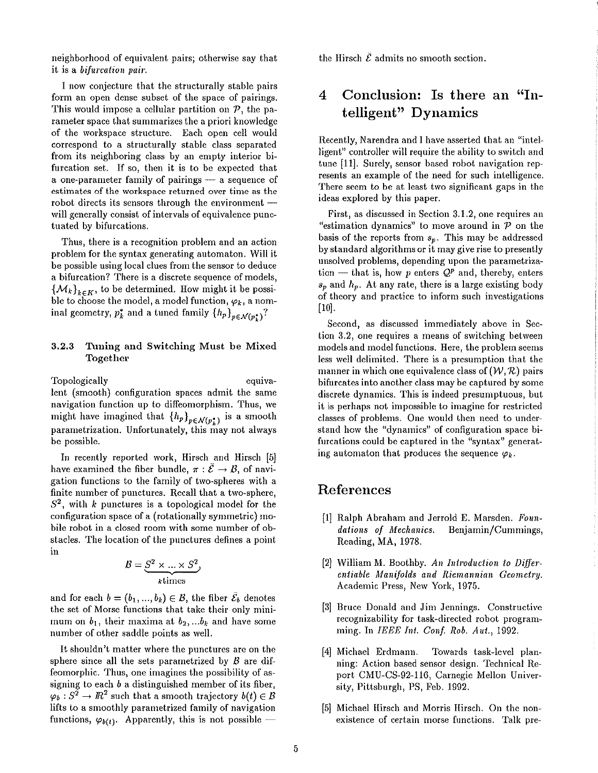neighborhood of equivalent pairs; otherwise say that it is a *bifurcation pair*.

I now conjecture that the structurally stable pairs form an open dense subset of the space of pairings. This would impose a cellular partition on  $P$ , the parameter space that summarizes the a priori knowledge of the workspace structure. Each open cell would correspond to a structurally stable class separated from its neighboring class by an empty interior bifurcation set. If so, then it is to be expected that a one-parameter family of pairings  $-$  a sequence of estimates of the workspace returned over time as the robot directs its sensors through the environment will generally consist of intervals of equivalence punctuated by bifurcations.

Thus, there is a recognition problem and an action problem for the syntax generating automaton. Will it be possible using local clues from the sensor to deduce a bifurcation? There is a discrete sequence of models,  $\{\mathcal{M}_k\}_{k\in K}$ , to be determined. How might it be possible to choose the model, a model function,  $\varphi_k$ , a nominal geometry,  $p_k^*$  and a tuned family  $\{h_p\}_{p \in \mathcal{N}(p_1^*)}$ ?

### $3.2.3$ Tuning and Switching Must be Mixed Together

Topologically equivalent (smooth) configuration spaces admit the same navigation function up to diffeomorphism. Thus, we might have imagined that  $\{h_p\}_{p \in \mathcal{N}(p_k^*)}$  is a smooth parametrization. Unfortunately, this may not always be possible.

In recently reported work, Hirsch and Hirsch [5] have examined the fiber bundle,  $\pi : \tilde{\mathcal{E}} \to \mathcal{B}$ , of navigation functions to the family of two-spheres with a finite number of punctures. Recall that a two-sphere,  $S<sup>2</sup>$ , with k punctures is a topological model for the configuration space of a (rotationally symmetric) mobile robot in a closed room with some number of obstacles. The location of the punctures defines a point in

$$
\mathcal{B} = \underbrace{S^2 \times \ldots \times S^2}_{k \text{ times}}
$$

and for each  $b=(b_1,...,b_k)\in B$ , the fiber  $\overline{\mathcal{E}}_b$  denotes the set of Morse functions that take their only minimum on  $b_1$ , their maxima at  $b_2,...b_k$  and have some number of other saddle points as well.

It shouldn't matter where the punctures are on the sphere since all the sets parametrized by  $\beta$  are diffeomorphic. Thus, one imagines the possibility of assigning to each  $b$  a distinguished member of its fiber,  $\varphi_b: S^2 \to \mathbb{R}^2$  such that a smooth trajectory  $b(t) \in \mathcal{B}$ lifts to a smoothly parametrized family of navigation functions,  $\varphi_{b(t)}$ . Apparently, this is not possible –

the Hirsch  $\bar{\mathcal{E}}$  admits no smooth section.

### Conclusion: Is there an "In-4 telligent" Dynamics

Recently, Narendra and I have asserted that an "intelligent" controller will require the ability to switch and tune [11]. Surely, sensor based robot navigation represents an example of the need for such intelligence. There seem to be at least two significant gaps in the ideas explored by this paper.

First, as discussed in Section 3.1.2, one requires an "estimation dynamics" to move around in  $P$  on the basis of the reports from  $s_p$ . This may be addressed by standard algorithms or it may give rise to presently unsolved problems, depending upon the parametrization — that is, how p enters  $Q^p$  and, thereby, enters  $s_p$  and  $h_p$ . At any rate, there is a large existing body of theory and practice to inform such investigations  $[10]$ .

Second, as discussed immediately above in Section 3.2, one requires a means of switching between models and model functions. Here, the problem seems less well delimited. There is a presumption that the manner in which one equivalence class of  $(W, \mathcal{R})$  pairs bifurcates into another class may be captured by some discrete dynamics. This is indeed presumptuous, but it is perhaps not impossible to imagine for restricted classes of problems. One would then need to understand how the "dynamics" of configuration space bifurcations could be captured in the "syntax" generating automaton that produces the sequence  $\varphi_k$ .

# References

- [1] Ralph Abraham and Jerrold E. Marsden. Foundations of Mechanics. Benjamin/Cummings, Reading, MA, 1978.
- [2] William M. Boothby. An Introduction to Differentiable Manifolds and Riemannian Geometry. Academic Press, New York, 1975.
- [3] Bruce Donald and Jim Jennings. Constructive recognizability for task-directed robot programming. In IEEE Int. Conf. Rob. Aut., 1992.
- [4] Michael Erdmann. Towards task-level planning: Action based sensor design. Technical Report CMU-CS-92-116, Carnegie Mellon University, Pittsburgh, PS, Feb. 1992.
- [5] Michael Hirsch and Morris Hirsch. On the nonexistence of certain morse functions. Talk pre-